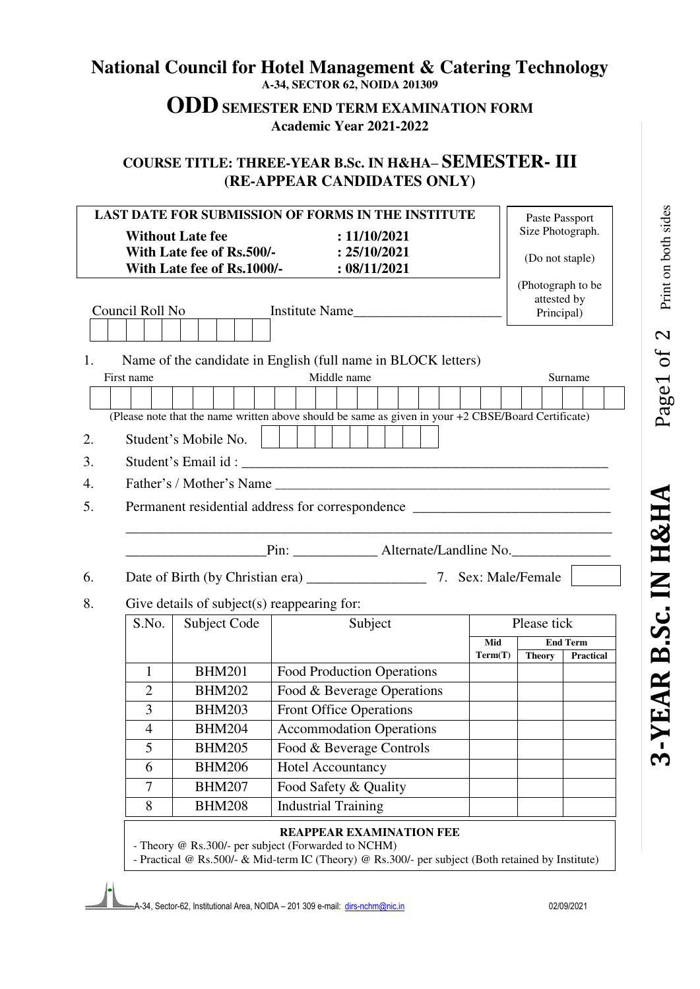## **National Council for Hotel Management & Catering Technology A-34, SECTOR 62, NOIDA 201309**

## **ODD SEMESTER END TERM EXAMINATION FORM Academic Year 2021-2022**

## **COURSE TITLE: THREE-YEAR B.Sc. IN H&HA– SEMESTER- III (RE-APPEAR CANDIDATES ONLY)**

| LAST DATE FOR SUBMISSION OF FORMS IN THE INSTITUTE |                                                  |                                             |                                                                                                                                                          |         |                                  | Paste Passport   |  |
|----------------------------------------------------|--------------------------------------------------|---------------------------------------------|----------------------------------------------------------------------------------------------------------------------------------------------------------|---------|----------------------------------|------------------|--|
| <b>Without Late fee</b><br>: 11/10/2021            |                                                  |                                             |                                                                                                                                                          |         | Size Photograph.                 |                  |  |
|                                                    |                                                  | With Late fee of Rs.500/-                   | : 25/10/2021                                                                                                                                             |         | (Do not staple)                  |                  |  |
|                                                    | With Late fee of Rs.1000/-                       |                                             |                                                                                                                                                          |         |                                  |                  |  |
|                                                    |                                                  |                                             |                                                                                                                                                          |         | (Photograph to be<br>attested by |                  |  |
| Council Roll No<br>Institute Name                  |                                                  |                                             |                                                                                                                                                          |         |                                  | Principal)       |  |
|                                                    |                                                  |                                             |                                                                                                                                                          |         |                                  |                  |  |
| 1.                                                 |                                                  |                                             | Name of the candidate in English (full name in BLOCK letters)                                                                                            |         |                                  |                  |  |
| First name                                         |                                                  |                                             | Middle name                                                                                                                                              |         |                                  | Surname          |  |
|                                                    |                                                  |                                             |                                                                                                                                                          |         |                                  |                  |  |
|                                                    |                                                  |                                             | (Please note that the name written above should be same as given in your +2 CBSE/Board Certificate)                                                      |         |                                  |                  |  |
| 2.                                                 |                                                  | Student's Mobile No.                        |                                                                                                                                                          |         |                                  |                  |  |
| 3.                                                 |                                                  |                                             |                                                                                                                                                          |         |                                  |                  |  |
| 4.                                                 |                                                  |                                             |                                                                                                                                                          |         |                                  |                  |  |
| 5.                                                 |                                                  |                                             |                                                                                                                                                          |         |                                  |                  |  |
|                                                    | Permanent residential address for correspondence |                                             |                                                                                                                                                          |         |                                  |                  |  |
|                                                    |                                                  |                                             |                                                                                                                                                          |         |                                  |                  |  |
|                                                    |                                                  |                                             |                                                                                                                                                          |         |                                  |                  |  |
|                                                    |                                                  |                                             |                                                                                                                                                          |         |                                  |                  |  |
|                                                    |                                                  |                                             |                                                                                                                                                          |         |                                  |                  |  |
|                                                    |                                                  | Give details of subject(s) reappearing for: |                                                                                                                                                          |         |                                  |                  |  |
|                                                    | S.No.                                            | Subject Code                                | Subject                                                                                                                                                  |         | Please tick                      |                  |  |
|                                                    |                                                  |                                             |                                                                                                                                                          | Mid     |                                  | <b>End Term</b>  |  |
|                                                    |                                                  |                                             |                                                                                                                                                          | Term(T) | <b>Theory</b>                    | <b>Practical</b> |  |
|                                                    | $\mathbf{1}$                                     | <b>BHM201</b>                               | Food Production Operations                                                                                                                               |         |                                  |                  |  |
|                                                    | $\overline{2}$                                   | <b>BHM202</b>                               | Food & Beverage Operations                                                                                                                               |         |                                  |                  |  |
|                                                    | 3                                                | <b>BHM203</b>                               | <b>Front Office Operations</b>                                                                                                                           |         |                                  |                  |  |
|                                                    | $\overline{4}$                                   | <b>BHM204</b>                               | <b>Accommodation Operations</b>                                                                                                                          |         |                                  |                  |  |
|                                                    | 5                                                | <b>BHM205</b>                               | Food & Beverage Controls                                                                                                                                 |         |                                  |                  |  |
|                                                    | 6                                                | <b>BHM206</b>                               | <b>Hotel Accountancy</b>                                                                                                                                 |         |                                  |                  |  |
|                                                    | $\tau$                                           | <b>BHM207</b>                               | Food Safety & Quality                                                                                                                                    |         |                                  |                  |  |
| 8.                                                 | 8                                                | <b>BHM208</b>                               | <b>Industrial Training</b>                                                                                                                               |         |                                  |                  |  |
| 6.                                                 |                                                  |                                             | <b>REAPPEAR EXAMINATION FEE</b>                                                                                                                          |         |                                  |                  |  |
|                                                    |                                                  |                                             | - Theory @ Rs.300/- per subject (Forwarded to NCHM)<br>- Practical @ Rs.500/- & Mid-term IC (Theory) @ Rs.300/- per subject (Both retained by Institute) |         |                                  |                  |  |